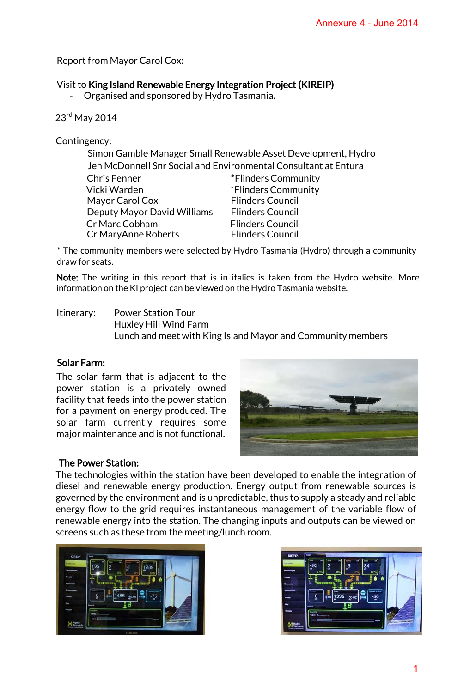Report from Mayor Carol Cox:

## Visit to King Island Renewable Energy Integration Project (KIREIP)

- Organised and sponsored by Hydro Tasmania.

23rd May 2014

Contingency:

| Simon Gamble Manager Small Renewable Asset Development, Hydro   |                                                    |
|-----------------------------------------------------------------|----------------------------------------------------|
| Jen McDonnell Snr Social and Environmental Consultant at Entura |                                                    |
| <b>Chris Fenner</b>                                             | *Flinders Community                                |
| Vicki Warden                                                    | *Flinders Community                                |
| Mayor Carol Cox                                                 | <b>Flinders Council</b>                            |
| Deputy Mayor David Williams                                     | <b>Flinders Council</b>                            |
| Cr Marc Cobham<br>Cr MaryAnne Roberts                           | <b>Flinders Council</b><br><b>Flinders Council</b> |

\* The community members were selected by Hydro Tasmania (Hydro) through a community draw for seats.

Note: The writing in this report that is in italics is taken from the Hydro website. More information on the KI project can be viewed on the Hydro Tasmania website.

Itinerary: Power Station Tour Huxley Hill Wind Farm Lunch and meet with King Island Mayor and Community members

## Solar Farm:

The solar farm that is adjacent to the power station is a privately owned facility that feeds into the power station for a payment on energy produced. The solar farm currently requires some major maintenance and is not functional.



# The Power Station:

The technologies within the station have been developed to enable the integration of diesel and renewable energy production. Energy output from renewable sources is governed by the environment and is unpredictable, thus to supply a steady and reliable energy flow to the grid requires instantaneous management of the variable flow of renewable energy into the station. The changing inputs and outputs can be viewed on screens such as these from the meeting/lunch room.



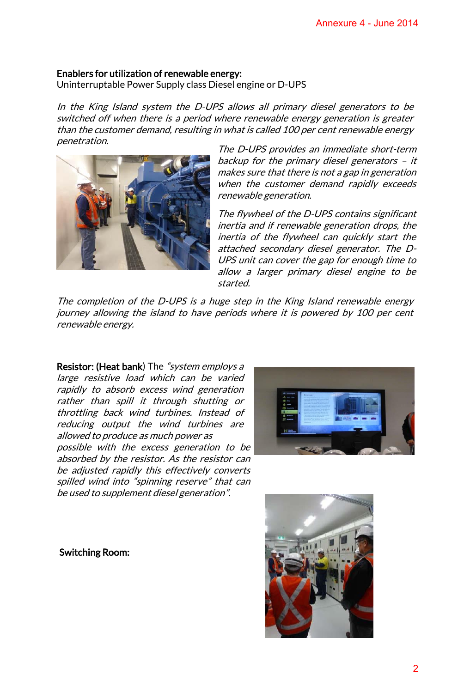#### Enablers for utilization of renewable energy:

Uninterruptable Power Supply class Diesel engine or D-UPS

In the King Island system the D-UPS allows all primary diesel generators to be switched off when there is a period where renewable energy generation is greater than the customer demand, resulting in what is called 100 per cent renewable energy penetration.



The D-UPS provides an immediate short-term backup for the primary diesel generators – it makes sure that there is not a gap in generation when the customer demand rapidly exceeds renewable generation.

The flywheel of the D-UPS contains significant inertia and if renewable generation drops, the inertia of the flywheel can quickly start the attached secondary diesel generator. The D-UPS unit can cover the gap for enough time to allow a larger primary diesel engine to be started.

The completion of the D-UPS is a huge step in the King Island renewable energy journey allowing the island to have periods where it is powered by 100 per cent renewable energy.

Resistor: (Heat bank) The "system employs a large resistive load which can be varied rapidly to absorb excess wind generation rather than spill it through shutting or throttling back wind turbines. Instead of reducing output the wind turbines are allowed to produce as much power as possible with the excess generation to be absorbed by the resistor. As the resistor can be adjusted rapidly this effectively converts spilled wind into "spinning reserve" that can

be used to supplement diesel generation".



Switching Room:

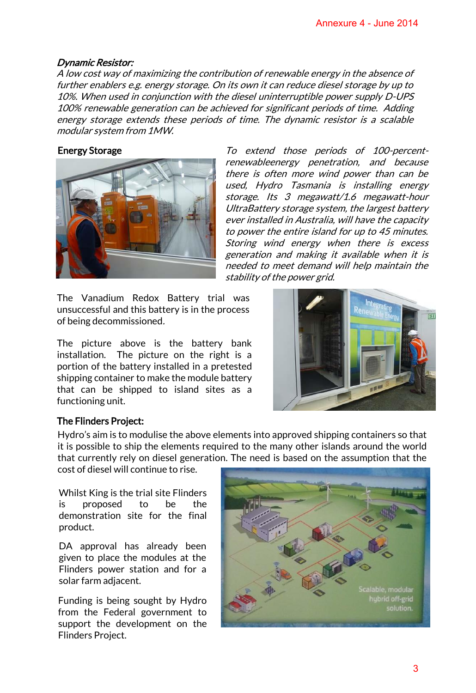#### Dynamic Resistor:

A low cost way of maximizing the contribution of renewable energy in the absence of further enablers e.g. energy storage. On its own it can reduce diesel storage by up to 10%. When used in conjunction with the diesel uninterruptible power supply D-UPS 100% renewable generation can be achieved for significant periods of time. Adding energy storage extends these periods of time. The dynamic resistor is a scalable modular system from 1MW.



Energy Storage To extend those periods of 100-percentrenewableenergy penetration, and because there is often more wind power than can be used, Hydro Tasmania is installing energy storage. Its 3 megawatt/1.6 megawatt-hour UltraBattery storage system, the largest battery ever installed in Australia, will have the capacity to power the entire island for up to 45 minutes. Storing wind energy when there is excess generation and making it available when it is needed to meet demand will help maintain the stability of the power grid.

The Vanadium Redox Battery trial was unsuccessful and this battery is in the process of being decommissioned.

The picture above is the battery bank installation. The picture on the right is a portion of the battery installed in a pretested shipping container to make the module battery that can be shipped to island sites as a functioning unit.



## The Flinders Project:

Hydro's aim is to modulise the above elements into approved shipping containers so that it is possible to ship the elements required to the many other islands around the world that currently rely on diesel generation. The need is based on the assumption that the

cost of diesel will continue to rise.

Whilst King is the trial site Flinders is proposed to be the demonstration site for the final product.

DA approval has already been given to place the modules at the Flinders power station and for a solar farm adjacent.

Funding is being sought by Hydro from the Federal government to support the development on the Flinders Project.